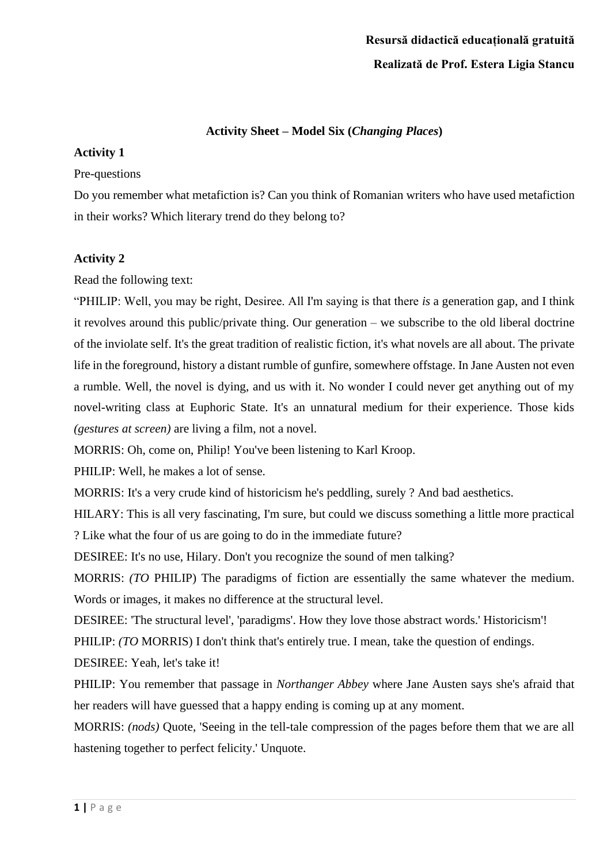# **Resursă didactică educațională gratuită Realizată de Prof. Estera Ligia Stancu**

# **Activity Sheet – Model Six (***Changing Places***)**

# **Activity 1**

#### Pre-questions

Do you remember what metafiction is? Can you think of Romanian writers who have used metafiction in their works? Which literary trend do they belong to?

# **Activity 2**

Read the following text:

"PHILIP: Well, you may be right, Desiree. All I'm saying is that there *is* a generation gap, and I think it revolves around this public/private thing. Our generation – we subscribe to the old liberal doctrine of the inviolate self. It's the great tradition of realistic fiction, it's what novels are all about. The private life in the foreground, history a distant rumble of gunfire, somewhere offstage. In Jane Austen not even a rumble. Well, the novel is dying, and us with it. No wonder I could never get anything out of my novel-writing class at Euphoric State. It's an unnatural medium for their experience. Those kids *(gestures at screen)* are living a film, not a novel.

MORRIS: Oh, come on, Philip! You've been listening to Karl Kroop.

PHILIP: Well, he makes a lot of sense.

MORRIS: It's a very crude kind of historicism he's peddling, surely ? And bad aesthetics.

HILARY: This is all very fascinating, I'm sure, but could we discuss something a little more practical ? Like what the four of us are going to do in the immediate future?

DESIREE: It's no use, Hilary. Don't you recognize the sound of men talking?

MORRIS: *(TO* PHILIP) The paradigms of fiction are essentially the same whatever the medium. Words or images, it makes no difference at the structural level.

DESIREE: 'The structural level', 'paradigms'. How they love those abstract words.' Historicism'!

PHILIP: *(TO* MORRIS) I don't think that's entirely true. I mean, take the question of endings.

DESIREE: Yeah, let's take it!

PHILIP: You remember that passage in *Northanger Abbey* where Jane Austen says she's afraid that her readers will have guessed that a happy ending is coming up at any moment.

MORRIS: *(nods)* Quote, 'Seeing in the tell-tale compression of the pages before them that we are all hastening together to perfect felicity.' Unquote.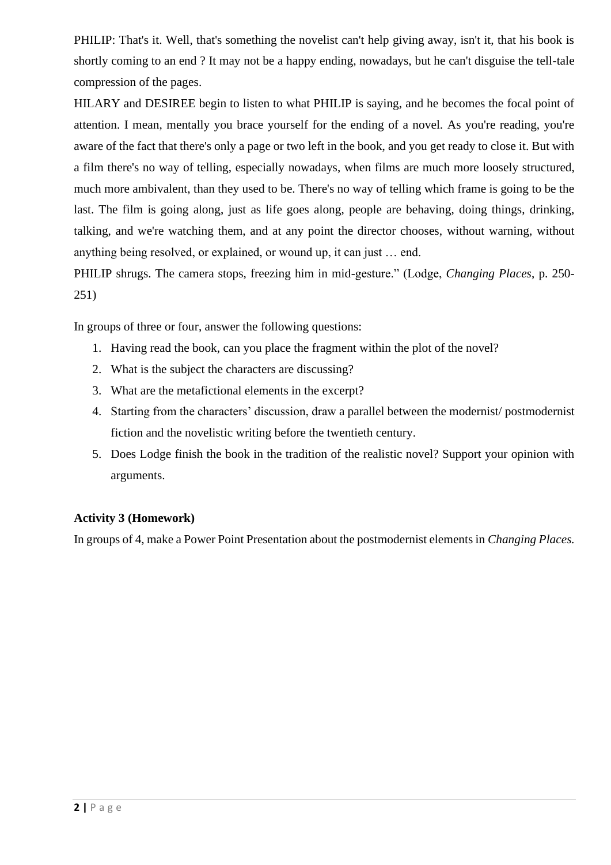PHILIP: That's it. Well, that's something the novelist can't help giving away, isn't it, that his book is shortly coming to an end ? It may not be a happy ending, nowadays, but he can't disguise the tell-tale compression of the pages.

HILARY and DESIREE begin to listen to what PHILIP is saying, and he becomes the focal point of attention. I mean, mentally you brace yourself for the ending of a novel. As you're reading, you're aware of the fact that there's only a page or two left in the book, and you get ready to close it. But with a film there's no way of telling, especially nowadays, when films are much more loosely structured, much more ambivalent, than they used to be. There's no way of telling which frame is going to be the last. The film is going along, just as life goes along, people are behaving, doing things, drinking, talking, and we're watching them, and at any point the director chooses, without warning, without anything being resolved, or explained, or wound up, it can just … end.

PHILIP shrugs. The camera stops, freezing him in mid-gesture." (Lodge, *Changing Places*, p. 250- 251)

In groups of three or four, answer the following questions:

- 1. Having read the book, can you place the fragment within the plot of the novel?
- 2. What is the subject the characters are discussing?
- 3. What are the metafictional elements in the excerpt?
- 4. Starting from the characters' discussion, draw a parallel between the modernist/ postmodernist fiction and the novelistic writing before the twentieth century.
- 5. Does Lodge finish the book in the tradition of the realistic novel? Support your opinion with arguments.

# **Activity 3 (Homework)**

In groups of 4, make a Power Point Presentation about the postmodernist elements in *Changing Places.*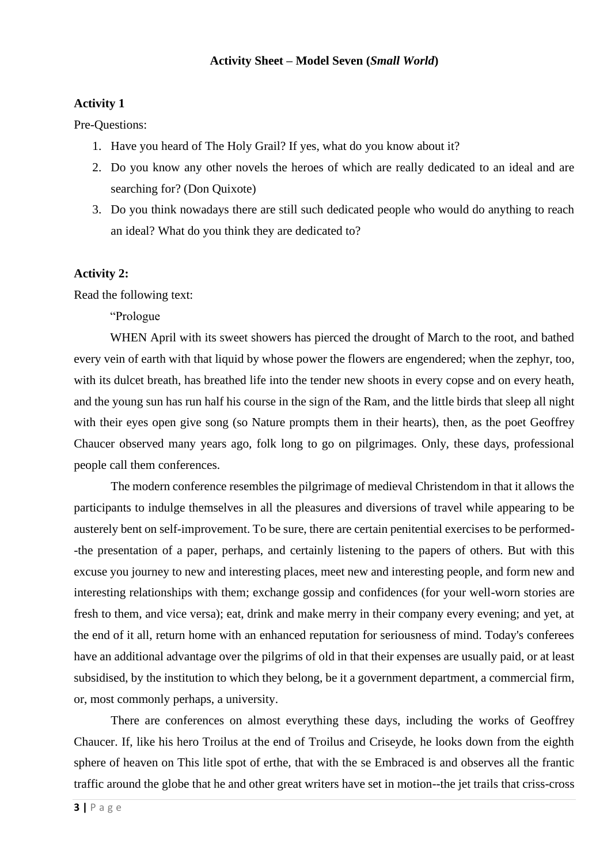# **Activity 1**

Pre-Questions:

- 1. Have you heard of The Holy Grail? If yes, what do you know about it?
- 2. Do you know any other novels the heroes of which are really dedicated to an ideal and are searching for? (Don Quixote)
- 3. Do you think nowadays there are still such dedicated people who would do anything to reach an ideal? What do you think they are dedicated to?

# **Activity 2:**

Read the following text:

"Prologue

WHEN April with its sweet showers has pierced the drought of March to the root, and bathed every vein of earth with that liquid by whose power the flowers are engendered; when the zephyr, too, with its dulcet breath, has breathed life into the tender new shoots in every copse and on every heath, and the young sun has run half his course in the sign of the Ram, and the little birds that sleep all night with their eyes open give song (so Nature prompts them in their hearts), then, as the poet Geoffrey Chaucer observed many years ago, folk long to go on pilgrimages. Only, these days, professional people call them conferences.

The modern conference resembles the pilgrimage of medieval Christendom in that it allows the participants to indulge themselves in all the pleasures and diversions of travel while appearing to be austerely bent on self-improvement. To be sure, there are certain penitential exercises to be performed- -the presentation of a paper, perhaps, and certainly listening to the papers of others. But with this excuse you journey to new and interesting places, meet new and interesting people, and form new and interesting relationships with them; exchange gossip and confidences (for your well-worn stories are fresh to them, and vice versa); eat, drink and make merry in their company every evening; and yet, at the end of it all, return home with an enhanced reputation for seriousness of mind. Today's conferees have an additional advantage over the pilgrims of old in that their expenses are usually paid, or at least subsidised, by the institution to which they belong, be it a government department, a commercial firm, or, most commonly perhaps, a university.

There are conferences on almost everything these days, including the works of Geoffrey Chaucer. If, like his hero Troilus at the end of Troilus and Criseyde, he looks down from the eighth sphere of heaven on This litle spot of erthe, that with the se Embraced is and observes all the frantic traffic around the globe that he and other great writers have set in motion--the jet trails that criss-cross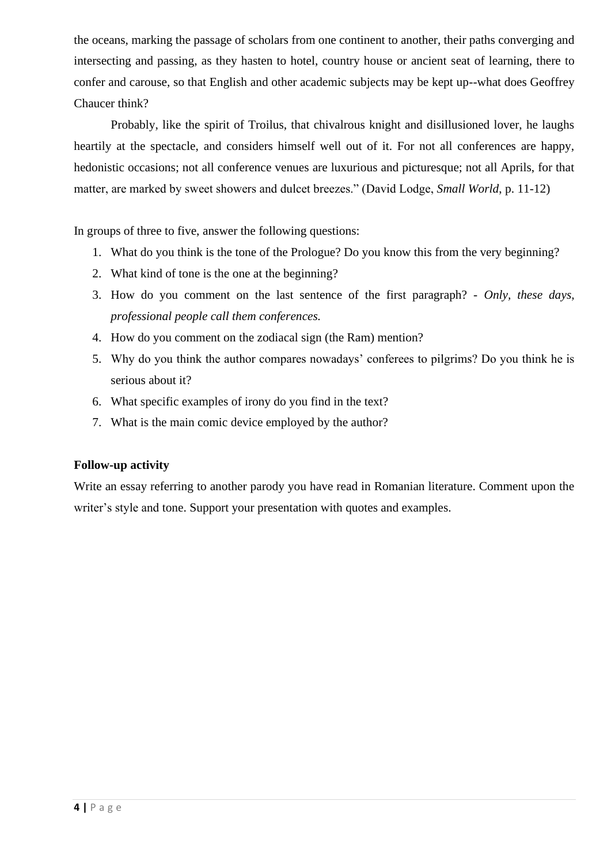the oceans, marking the passage of scholars from one continent to another, their paths converging and intersecting and passing, as they hasten to hotel, country house or ancient seat of learning, there to confer and carouse, so that English and other academic subjects may be kept up--what does Geoffrey Chaucer think?

Probably, like the spirit of Troilus, that chivalrous knight and disillusioned lover, he laughs heartily at the spectacle, and considers himself well out of it. For not all conferences are happy, hedonistic occasions; not all conference venues are luxurious and picturesque; not all Aprils, for that matter, are marked by sweet showers and dulcet breezes." (David Lodge, *Small World*, p. 11-12)

In groups of three to five, answer the following questions:

- 1. What do you think is the tone of the Prologue? Do you know this from the very beginning?
- 2. What kind of tone is the one at the beginning?
- 3. How do you comment on the last sentence of the first paragraph? *Only, these days, professional people call them conferences.*
- 4. How do you comment on the zodiacal sign (the Ram) mention?
- 5. Why do you think the author compares nowadays' conferees to pilgrims? Do you think he is serious about it?
- 6. What specific examples of irony do you find in the text?
- 7. What is the main comic device employed by the author?

# **Follow-up activity**

Write an essay referring to another parody you have read in Romanian literature. Comment upon the writer's style and tone. Support your presentation with quotes and examples.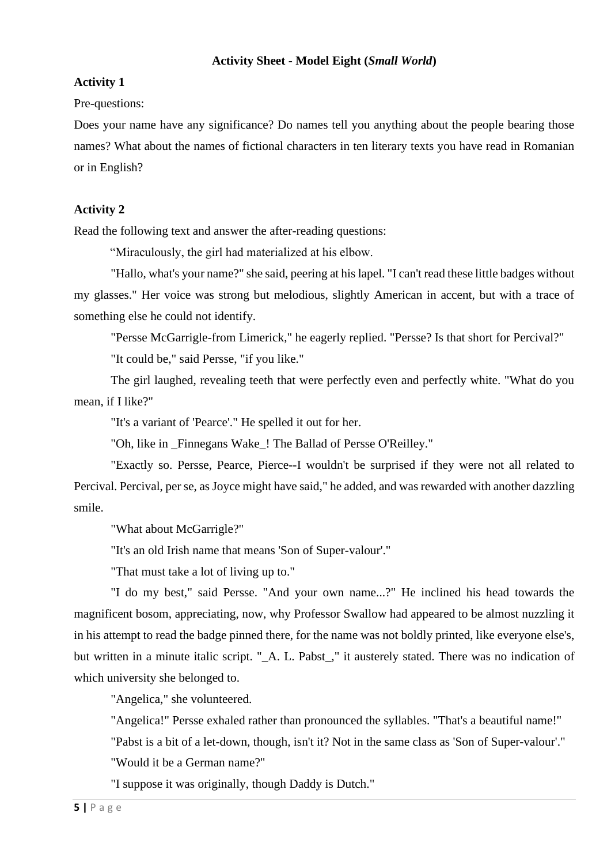#### **Activity Sheet - Model Eight (***Small World***)**

#### **Activity 1**

Pre-questions:

Does your name have any significance? Do names tell you anything about the people bearing those names? What about the names of fictional characters in ten literary texts you have read in Romanian or in English?

#### **Activity 2**

Read the following text and answer the after-reading questions:

"Miraculously, the girl had materialized at his elbow.

"Hallo, what's your name?" she said, peering at his lapel. "I can't read these little badges without my glasses." Her voice was strong but melodious, slightly American in accent, but with a trace of something else he could not identify.

"Persse McGarrigle-from Limerick," he eagerly replied. "Persse? Is that short for Percival?"

"It could be," said Persse, "if you like."

The girl laughed, revealing teeth that were perfectly even and perfectly white. "What do you mean, if I like?"

"It's a variant of 'Pearce'." He spelled it out for her.

"Oh, like in \_Finnegans Wake\_! The Ballad of Persse O'Reilley."

"Exactly so. Persse, Pearce, Pierce--I wouldn't be surprised if they were not all related to Percival. Percival, per se, as Joyce might have said," he added, and was rewarded with another dazzling smile.

"What about McGarrigle?"

"It's an old Irish name that means 'Son of Super-valour'."

"That must take a lot of living up to."

"I do my best," said Persse. "And your own name...?" He inclined his head towards the magnificent bosom, appreciating, now, why Professor Swallow had appeared to be almost nuzzling it in his attempt to read the badge pinned there, for the name was not boldly printed, like everyone else's, but written in a minute italic script. "\_A. L. Pabst\_," it austerely stated. There was no indication of which university she belonged to.

"Angelica," she volunteered.

"Angelica!" Persse exhaled rather than pronounced the syllables. "That's a beautiful name!"

"Pabst is a bit of a let-down, though, isn't it? Not in the same class as 'Son of Super-valour'."

"Would it be a German name?"

"I suppose it was originally, though Daddy is Dutch."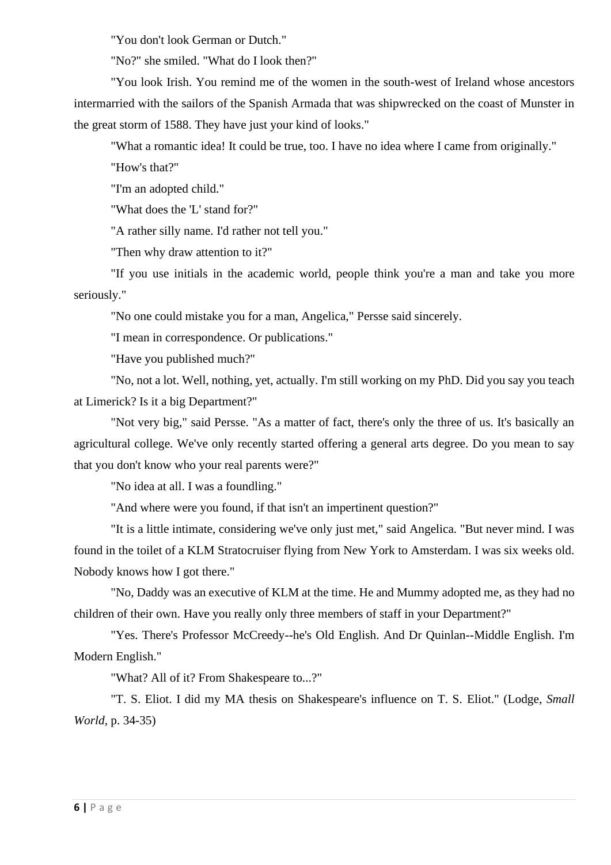"You don't look German or Dutch."

"No?" she smiled. "What do I look then?"

"You look Irish. You remind me of the women in the south-west of Ireland whose ancestors intermarried with the sailors of the Spanish Armada that was shipwrecked on the coast of Munster in the great storm of 1588. They have just your kind of looks."

"What a romantic idea! It could be true, too. I have no idea where I came from originally."

"How's that?"

"I'm an adopted child."

"What does the 'L' stand for?"

"A rather silly name. I'd rather not tell you."

"Then why draw attention to it?"

"If you use initials in the academic world, people think you're a man and take you more seriously."

"No one could mistake you for a man, Angelica," Persse said sincerely.

"I mean in correspondence. Or publications."

"Have you published much?"

"No, not a lot. Well, nothing, yet, actually. I'm still working on my PhD. Did you say you teach at Limerick? Is it a big Department?"

"Not very big," said Persse. "As a matter of fact, there's only the three of us. It's basically an agricultural college. We've only recently started offering a general arts degree. Do you mean to say that you don't know who your real parents were?"

"No idea at all. I was a foundling."

"And where were you found, if that isn't an impertinent question?"

"It is a little intimate, considering we've only just met," said Angelica. "But never mind. I was found in the toilet of a KLM Stratocruiser flying from New York to Amsterdam. I was six weeks old. Nobody knows how I got there."

"No, Daddy was an executive of KLM at the time. He and Mummy adopted me, as they had no children of their own. Have you really only three members of staff in your Department?"

"Yes. There's Professor McCreedy--he's Old English. And Dr Quinlan--Middle English. I'm Modern English."

"What? All of it? From Shakespeare to...?"

"T. S. Eliot. I did my MA thesis on Shakespeare's influence on T. S. Eliot." (Lodge, *Small World*, p. 34-35)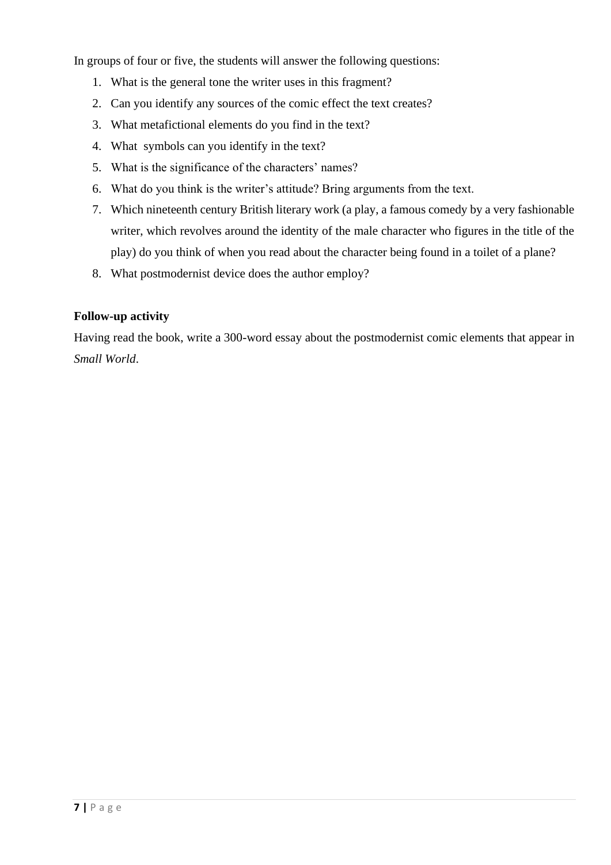In groups of four or five, the students will answer the following questions:

- 1. What is the general tone the writer uses in this fragment?
- 2. Can you identify any sources of the comic effect the text creates?
- 3. What metafictional elements do you find in the text?
- 4. What symbols can you identify in the text?
- 5. What is the significance of the characters' names?
- 6. What do you think is the writer's attitude? Bring arguments from the text.
- 7. Which nineteenth century British literary work (a play, a famous comedy by a very fashionable writer, which revolves around the identity of the male character who figures in the title of the play) do you think of when you read about the character being found in a toilet of a plane?
- 8. What postmodernist device does the author employ?

# **Follow-up activity**

Having read the book, write a 300-word essay about the postmodernist comic elements that appear in *Small World*.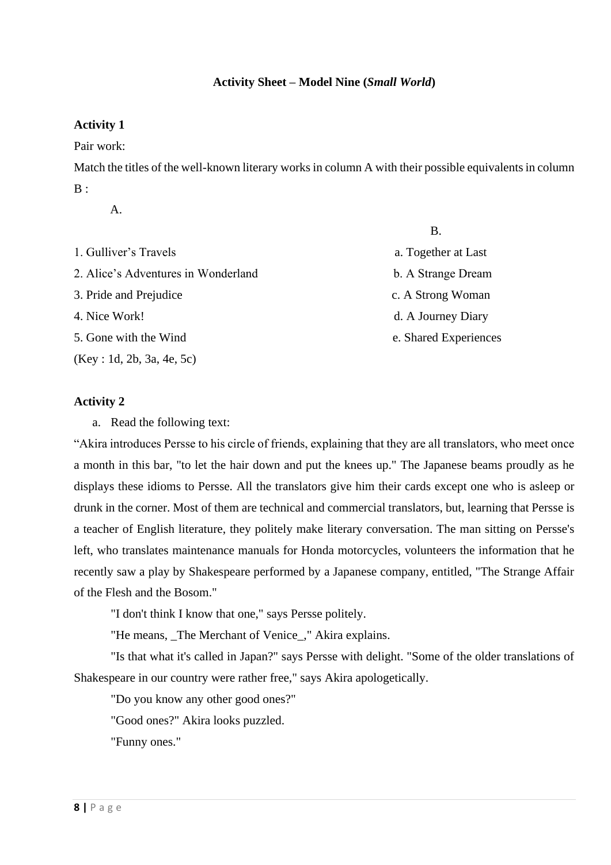# **Activity Sheet – Model Nine (***Small World***)**

# **Activity 1**

Pair work:

Match the titles of the well-known literary works in column A with their possible equivalents in column  $B:$ 

A.

|                                     | Β.                    |
|-------------------------------------|-----------------------|
| 1. Gulliver's Travels               | a. Together at Last   |
| 2. Alice's Adventures in Wonderland | b. A Strange Dream    |
| 3. Pride and Prejudice              | c. A Strong Woman     |
| 4. Nice Work!                       | d. A Journey Diary    |
| 5. Gone with the Wind               | e. Shared Experiences |
| (Key: 1d, 2b, 3a, 4e, 5c)           |                       |

#### **Activity 2**

a. Read the following text:

"Akira introduces Persse to his circle of friends, explaining that they are all translators, who meet once a month in this bar, "to let the hair down and put the knees up." The Japanese beams proudly as he displays these idioms to Persse. All the translators give him their cards except one who is asleep or drunk in the corner. Most of them are technical and commercial translators, but, learning that Persse is a teacher of English literature, they politely make literary conversation. The man sitting on Persse's left, who translates maintenance manuals for Honda motorcycles, volunteers the information that he recently saw a play by Shakespeare performed by a Japanese company, entitled, "The Strange Affair of the Flesh and the Bosom."

"I don't think I know that one," says Persse politely.

"He means, \_The Merchant of Venice\_," Akira explains.

"Is that what it's called in Japan?" says Persse with delight. "Some of the older translations of Shakespeare in our country were rather free," says Akira apologetically.

"Do you know any other good ones?"

"Good ones?" Akira looks puzzled.

"Funny ones."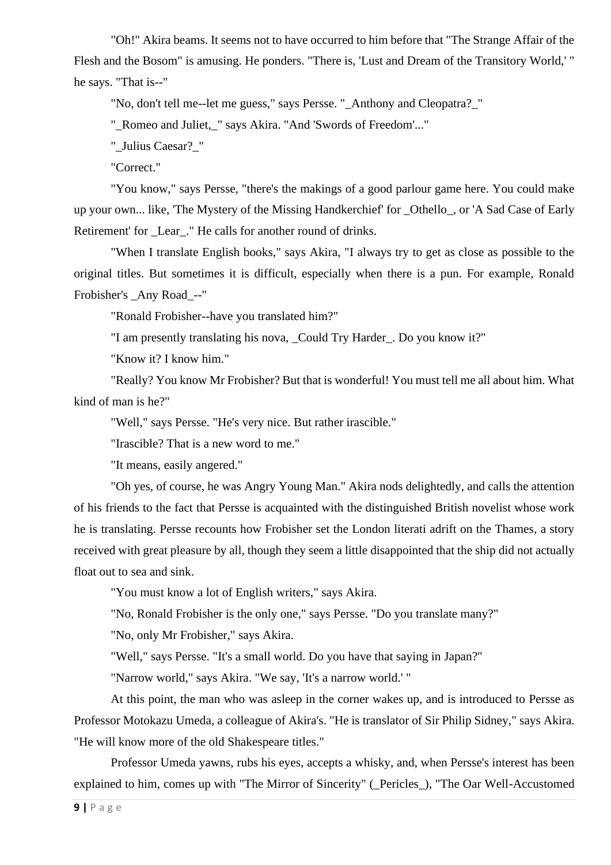"Oh!" Akira beams. It seems not to have occurred to him before that "The Strange Affair of the Flesh and the Bosom" is amusing. He ponders. "There is, 'Lust and Dream of the Transitory World,' " he says. "That is--"

"No, don't tell me--let me guess," says Persse. "\_Anthony and Cleopatra?\_"

" Romeo and Juliet, " says Akira. "And 'Swords of Freedom'..."

"\_Julius Caesar?\_"

"Correct."

"You know," says Persse, "there's the makings of a good parlour game here. You could make up your own... like, 'The Mystery of the Missing Handkerchief' for \_Othello\_, or 'A Sad Case of Early Retirement' for Lear." He calls for another round of drinks.

"When I translate English books," says Akira, "I always try to get as close as possible to the original titles. But sometimes it is difficult, especially when there is a pun. For example, Ronald Frobisher's \_Any Road\_--"

"Ronald Frobisher--have you translated him?"

"I am presently translating his nova, \_Could Try Harder\_. Do you know it?"

"Know it? I know him."

"Really? You know Mr Frobisher? But that is wonderful! You must tell me all about him. What kind of man is he?"

"Well," says Persse. "He's very nice. But rather irascible."

"Irascible? That is a new word to me."

"It means, easily angered."

"Oh yes, of course, he was Angry Young Man." Akira nods delightedly, and calls the attention of his friends to the fact that Persse is acquainted with the distinguished British novelist whose work he is translating. Persse recounts how Frobisher set the London literati adrift on the Thames, a story received with great pleasure by all, though they seem a little disappointed that the ship did not actually float out to sea and sink.

"You must know a lot of English writers," says Akira.

"No, Ronald Frobisher is the only one," says Persse. "Do you translate many?"

"No, only Mr Frobisher," says Akira.

"Well," says Persse. "It's a small world. Do you have that saying in Japan?"

"Narrow world," says Akira. "We say, 'It's a narrow world.' "

At this point, the man who was asleep in the corner wakes up, and is introduced to Persse as Professor Motokazu Umeda, a colleague of Akira's. "He is translator of Sir Philip Sidney," says Akira. "He will know more of the old Shakespeare titles."

Professor Umeda yawns, rubs his eyes, accepts a whisky, and, when Persse's interest has been explained to him, comes up with "The Mirror of Sincerity" (\_Pericles\_), "The Oar Well-Accustomed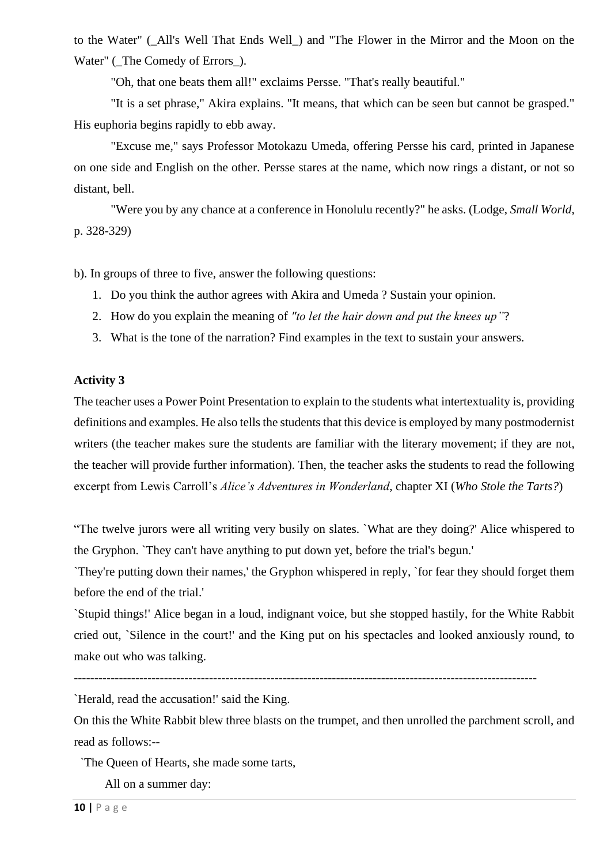to the Water" (\_All's Well That Ends Well\_) and "The Flower in the Mirror and the Moon on the Water" (The Comedy of Errors\_).

"Oh, that one beats them all!" exclaims Persse. "That's really beautiful."

"It is a set phrase," Akira explains. "It means, that which can be seen but cannot be grasped." His euphoria begins rapidly to ebb away.

"Excuse me," says Professor Motokazu Umeda, offering Persse his card, printed in Japanese on one side and English on the other. Persse stares at the name, which now rings a distant, or not so distant, bell.

"Were you by any chance at a conference in Honolulu recently?" he asks. (Lodge, *Small World*, p. 328-329)

b). In groups of three to five, answer the following questions:

1. Do you think the author agrees with Akira and Umeda ? Sustain your opinion.

- 2. How do you explain the meaning of *"to let the hair down and put the knees up"*?
- 3. What is the tone of the narration? Find examples in the text to sustain your answers.

#### **Activity 3**

The teacher uses a Power Point Presentation to explain to the students what intertextuality is, providing definitions and examples. He also tells the students that this device is employed by many postmodernist writers (the teacher makes sure the students are familiar with the literary movement; if they are not, the teacher will provide further information). Then, the teacher asks the students to read the following excerpt from Lewis Carroll's *Alice's Adventures in Wonderland*, chapter XI (*Who Stole the Tarts?*)

"The twelve jurors were all writing very busily on slates. `What are they doing?' Alice whispered to the Gryphon. `They can't have anything to put down yet, before the trial's begun.'

`They're putting down their names,' the Gryphon whispered in reply, `for fear they should forget them before the end of the trial.'

`Stupid things!' Alice began in a loud, indignant voice, but she stopped hastily, for the White Rabbit cried out, `Silence in the court!' and the King put on his spectacles and looked anxiously round, to make out who was talking.

-----------------------------------------------------------------------------------------------------------------

`Herald, read the accusation!' said the King.

On this the White Rabbit blew three blasts on the trumpet, and then unrolled the parchment scroll, and read as follows:--

`The Queen of Hearts, she made some tarts,

All on a summer day: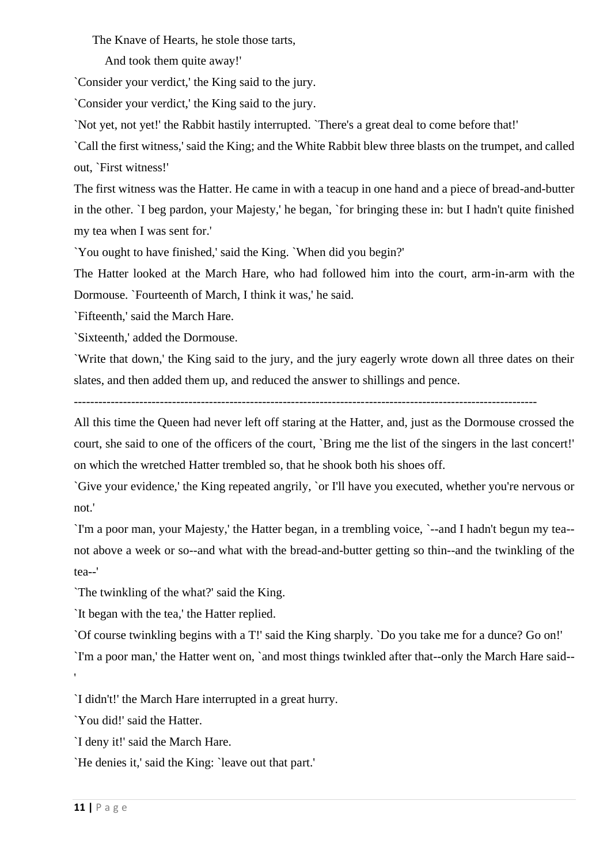The Knave of Hearts, he stole those tarts,

And took them quite away!'

`Consider your verdict,' the King said to the jury.

`Consider your verdict,' the King said to the jury.

`Not yet, not yet!' the Rabbit hastily interrupted. `There's a great deal to come before that!'

`Call the first witness,' said the King; and the White Rabbit blew three blasts on the trumpet, and called out, `First witness!'

The first witness was the Hatter. He came in with a teacup in one hand and a piece of bread-and-butter in the other. `I beg pardon, your Majesty,' he began, `for bringing these in: but I hadn't quite finished my tea when I was sent for.'

`You ought to have finished,' said the King. `When did you begin?'

The Hatter looked at the March Hare, who had followed him into the court, arm-in-arm with the Dormouse. `Fourteenth of March, I think it was,' he said.

`Fifteenth,' said the March Hare.

`Sixteenth,' added the Dormouse.

`Write that down,' the King said to the jury, and the jury eagerly wrote down all three dates on their slates, and then added them up, and reduced the answer to shillings and pence.

-----------------------------------------------------------------------------------------------------------------

All this time the Queen had never left off staring at the Hatter, and, just as the Dormouse crossed the court, she said to one of the officers of the court, `Bring me the list of the singers in the last concert!' on which the wretched Hatter trembled so, that he shook both his shoes off.

`Give your evidence,' the King repeated angrily, `or I'll have you executed, whether you're nervous or not.'

`I'm a poor man, your Majesty,' the Hatter began, in a trembling voice, `--and I hadn't begun my tea- not above a week or so--and what with the bread-and-butter getting so thin--and the twinkling of the tea--'

`The twinkling of the what?' said the King.

`It began with the tea,' the Hatter replied.

`Of course twinkling begins with a T!' said the King sharply. `Do you take me for a dunce? Go on!'

`I'm a poor man,' the Hatter went on, `and most things twinkled after that--only the March Hare said--

`I didn't!' the March Hare interrupted in a great hurry.

`You did!' said the Hatter.

`I deny it!' said the March Hare.

`He denies it,' said the King: `leave out that part.'

'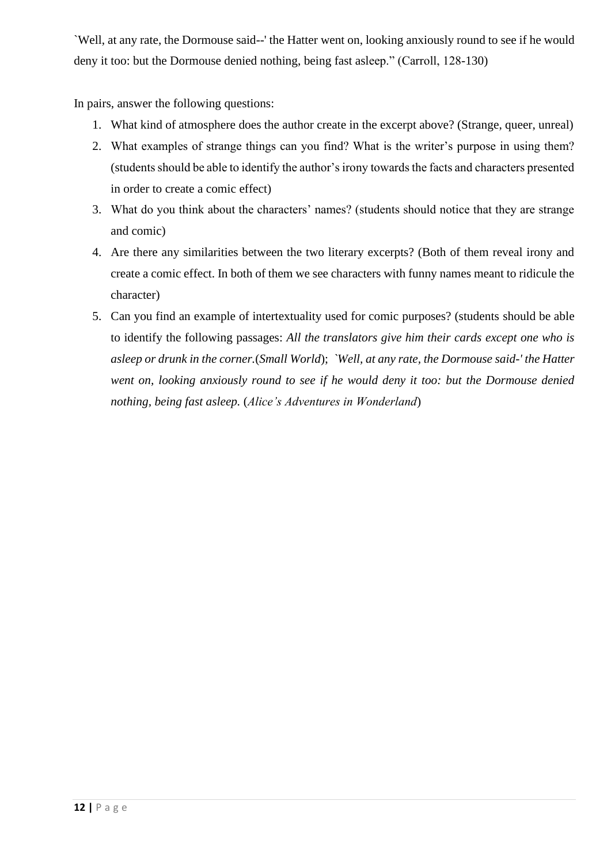`Well, at any rate, the Dormouse said--' the Hatter went on, looking anxiously round to see if he would deny it too: but the Dormouse denied nothing, being fast asleep." (Carroll, 128-130)

In pairs, answer the following questions:

- 1. What kind of atmosphere does the author create in the excerpt above? (Strange, queer, unreal)
- 2. What examples of strange things can you find? What is the writer's purpose in using them? (students should be able to identify the author's irony towards the facts and characters presented in order to create a comic effect)
- 3. What do you think about the characters' names? (students should notice that they are strange and comic)
- 4. Are there any similarities between the two literary excerpts? (Both of them reveal irony and create a comic effect. In both of them we see characters with funny names meant to ridicule the character)
- 5. Can you find an example of intertextuality used for comic purposes? (students should be able to identify the following passages: *All the translators give him their cards except one who is asleep or drunk in the corner.*(*Small World*); *`Well, at any rate, the Dormouse said-' the Hatter went on, looking anxiously round to see if he would deny it too: but the Dormouse denied nothing, being fast asleep.* (*Alice's Adventures in Wonderland*)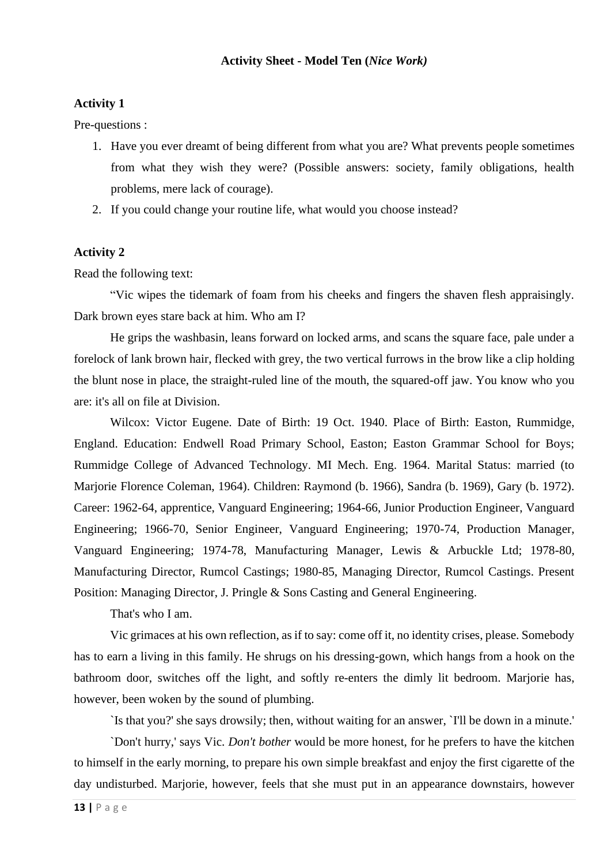# **Activity 1**

Pre-questions :

- 1. Have you ever dreamt of being different from what you are? What prevents people sometimes from what they wish they were? (Possible answers: society, family obligations, health problems, mere lack of courage).
- 2. If you could change your routine life, what would you choose instead?

# **Activity 2**

Read the following text:

"Vic wipes the tidemark of foam from his cheeks and fingers the shaven flesh appraisingly. Dark brown eyes stare back at him. Who am I?

He grips the washbasin, leans forward on locked arms, and scans the square face, pale under a forelock of lank brown hair, flecked with grey, the two vertical furrows in the brow like a clip holding the blunt nose in place, the straight-ruled line of the mouth, the squared-off jaw. You know who you are: it's all on file at Division.

Wilcox: Victor Eugene. Date of Birth: 19 Oct. 1940. Place of Birth: Easton, Rummidge, England. Education: Endwell Road Primary School, Easton; Easton Grammar School for Boys; Rummidge College of Advanced Technology. MI Mech. Eng. 1964. Marital Status: married (to Marjorie Florence Coleman, 1964). Children: Raymond (b. 1966), Sandra (b. 1969), Gary (b. 1972). Career: 1962-64, apprentice, Vanguard Engineering; 1964-66, Junior Production Engineer, Vanguard Engineering; 1966-70, Senior Engineer, Vanguard Engineering; 1970-74, Production Manager, Vanguard Engineering; 1974-78, Manufacturing Manager, Lewis & Arbuckle Ltd; 1978-80, Manufacturing Director, Rumcol Castings; 1980-85, Managing Director, Rumcol Castings. Present Position: Managing Director, J. Pringle & Sons Casting and General Engineering.

That's who I am.

Vic grimaces at his own reflection, as if to say: come off it, no identity crises, please. Somebody has to earn a living in this family. He shrugs on his dressing-gown, which hangs from a hook on the bathroom door, switches off the light, and softly re-enters the dimly lit bedroom. Marjorie has, however, been woken by the sound of plumbing.

`Is that you?' she says drowsily; then, without waiting for an answer, `I'll be down in a minute.'

`Don't hurry,' says Vic. *Don't bother* would be more honest, for he prefers to have the kitchen to himself in the early morning, to prepare his own simple breakfast and enjoy the first cigarette of the day undisturbed. Marjorie, however, feels that she must put in an appearance downstairs, however